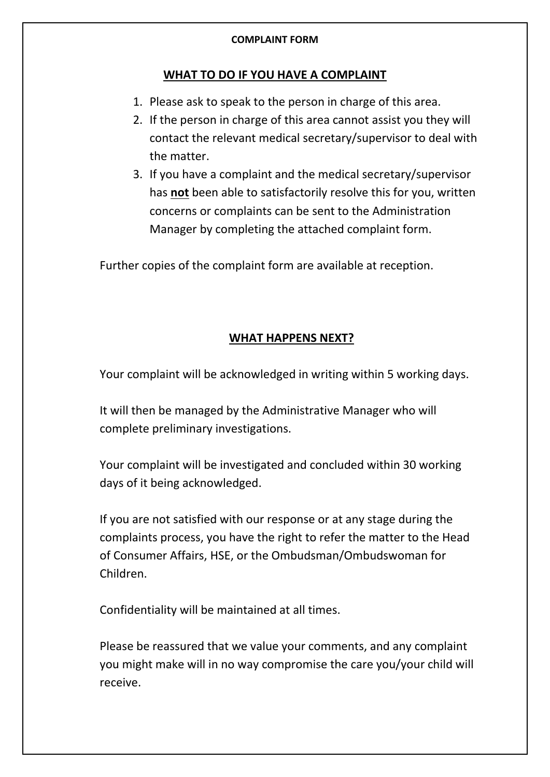## **COMPLAINT FORM**

## **WHAT TO DO IF YOU HAVE A COMPLAINT**

- 1. Please ask to speak to the person in charge of this area.
- 2. If the person in charge of this area cannot assist you they will contact the relevant medical secretary/supervisor to deal with the matter.
- 3. If you have a complaint and the medical secretary/supervisor has **not** been able to satisfactorily resolve this for you, written concerns or complaints can be sent to the Administration Manager by completing the attached complaint form.

Further copies of the complaint form are available at reception.

## **WHAT HAPPENS NEXT?**

Your complaint will be acknowledged in writing within 5 working days.

It will then be managed by the Administrative Manager who will complete preliminary investigations.

Your complaint will be investigated and concluded within 30 working days of it being acknowledged.

If you are not satisfied with our response or at any stage during the complaints process, you have the right to refer the matter to the Head of Consumer Affairs, HSE, or the Ombudsman/Ombudswoman for Children.

Confidentiality will be maintained at all times.

Please be reassured that we value your comments, and any complaint you might make will in no way compromise the care you/your child will receive.